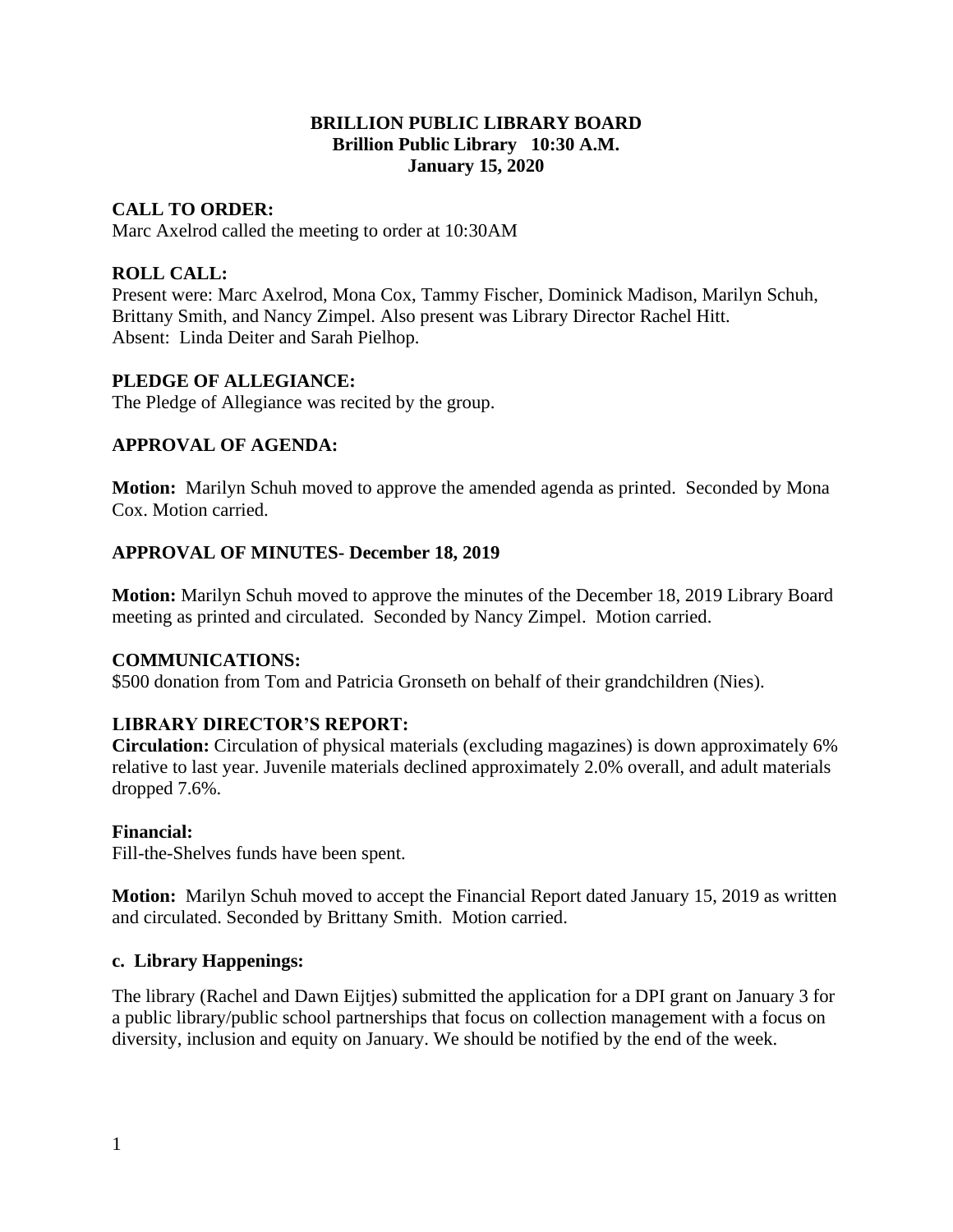## **BRILLION PUBLIC LIBRARY BOARD Brillion Public Library 10:30 A.M. January 15, 2020**

# **CALL TO ORDER:**

Marc Axelrod called the meeting to order at 10:30AM

# **ROLL CALL:**

Present were: Marc Axelrod, Mona Cox, Tammy Fischer, Dominick Madison, Marilyn Schuh, Brittany Smith, and Nancy Zimpel. Also present was Library Director Rachel Hitt. Absent: Linda Deiter and Sarah Pielhop.

## **PLEDGE OF ALLEGIANCE:**

The Pledge of Allegiance was recited by the group.

## **APPROVAL OF AGENDA:**

**Motion:** Marilyn Schuh moved to approve the amended agenda as printed. Seconded by Mona Cox. Motion carried.

## **APPROVAL OF MINUTES- December 18, 2019**

**Motion:** Marilyn Schuh moved to approve the minutes of the December 18, 2019 Library Board meeting as printed and circulated. Seconded by Nancy Zimpel. Motion carried.

## **COMMUNICATIONS:**

\$500 donation from Tom and Patricia Gronseth on behalf of their grandchildren (Nies).

# **LIBRARY DIRECTOR'S REPORT:**

**Circulation:** Circulation of physical materials (excluding magazines) is down approximately 6% relative to last year. Juvenile materials declined approximately 2.0% overall, and adult materials dropped 7.6%.

### **Financial:**

Fill-the-Shelves funds have been spent.

**Motion:** Marilyn Schuh moved to accept the Financial Report dated January 15, 2019 as written and circulated. Seconded by Brittany Smith. Motion carried.

### **c. Library Happenings:**

The library (Rachel and Dawn Eijtjes) submitted the application for a DPI grant on January 3 for a public library/public school partnerships that focus on collection management with a focus on diversity, inclusion and equity on January. We should be notified by the end of the week.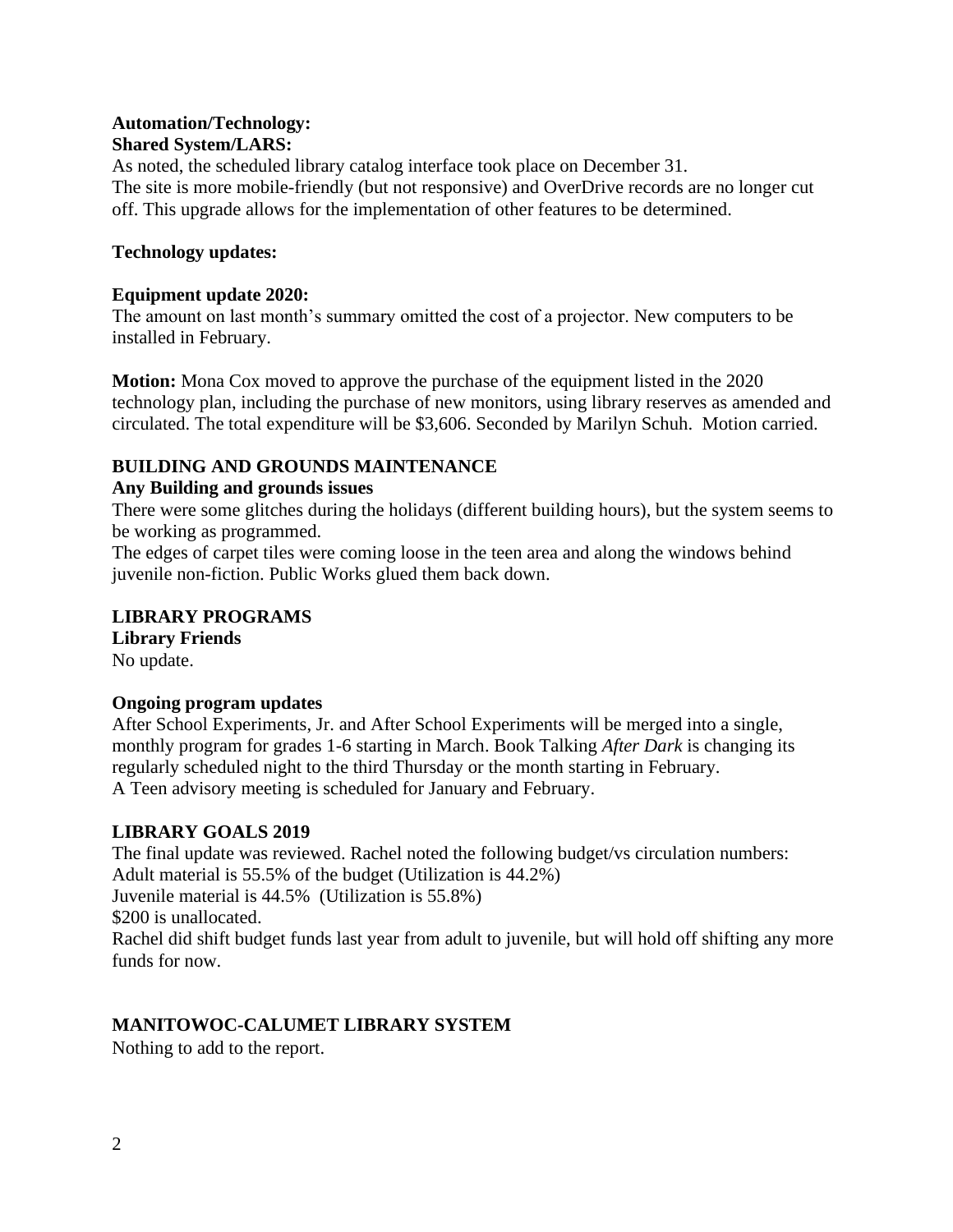## **Automation/Technology: Shared System/LARS:**

As noted, the scheduled library catalog interface took place on December 31. The site is more mobile-friendly (but not responsive) and OverDrive records are no longer cut off. This upgrade allows for the implementation of other features to be determined.

## **Technology updates:**

### **Equipment update 2020:**

The amount on last month's summary omitted the cost of a projector. New computers to be installed in February.

**Motion:** Mona Cox moved to approve the purchase of the equipment listed in the 2020 technology plan, including the purchase of new monitors, using library reserves as amended and circulated. The total expenditure will be \$3,606. Seconded by Marilyn Schuh. Motion carried.

# **BUILDING AND GROUNDS MAINTENANCE**

## **Any Building and grounds issues**

There were some glitches during the holidays (different building hours), but the system seems to be working as programmed.

The edges of carpet tiles were coming loose in the teen area and along the windows behind juvenile non-fiction. Public Works glued them back down.

# **LIBRARY PROGRAMS**

**Library Friends** No update.

### **Ongoing program updates**

After School Experiments, Jr. and After School Experiments will be merged into a single, monthly program for grades 1-6 starting in March. Book Talking *After Dark* is changing its regularly scheduled night to the third Thursday or the month starting in February. A Teen advisory meeting is scheduled for January and February.

### **LIBRARY GOALS 2019**

The final update was reviewed. Rachel noted the following budget/vs circulation numbers: Adult material is 55.5% of the budget (Utilization is 44.2%) Juvenile material is 44.5% (Utilization is 55.8%) \$200 is unallocated. Rachel did shift budget funds last year from adult to juvenile, but will hold off shifting any more funds for now.

# **MANITOWOC-CALUMET LIBRARY SYSTEM**

Nothing to add to the report.